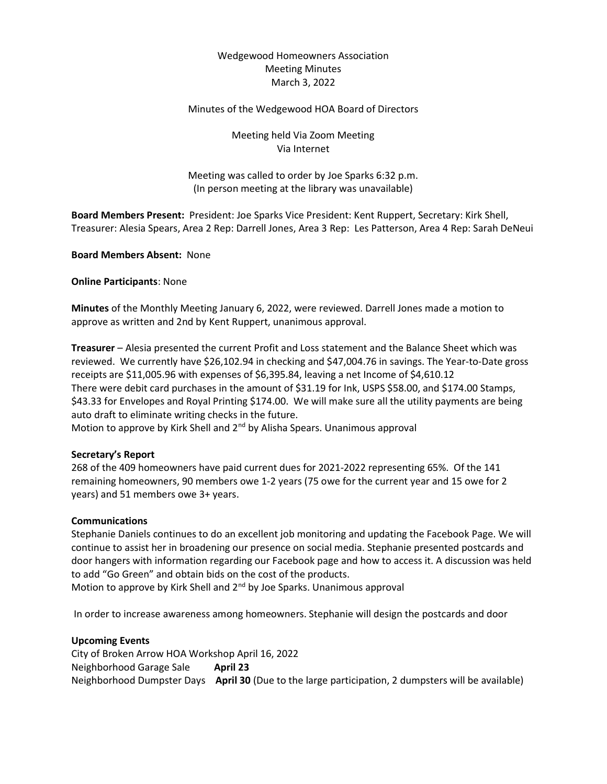# Wedgewood Homeowners Association Meeting Minutes March 3, 2022

# Minutes of the Wedgewood HOA Board of Directors

Meeting held Via Zoom Meeting Via Internet

Meeting was called to order by Joe Sparks 6:32 p.m. (In person meeting at the library was unavailable)

Board Members Present: President: Joe Sparks Vice President: Kent Ruppert, Secretary: Kirk Shell, Treasurer: Alesia Spears, Area 2 Rep: Darrell Jones, Area 3 Rep: Les Patterson, Area 4 Rep: Sarah DeNeui

Board Members Absent: None

Online Participants: None

Minutes of the Monthly Meeting January 6, 2022, were reviewed. Darrell Jones made a motion to approve as written and 2nd by Kent Ruppert, unanimous approval.

Treasurer – Alesia presented the current Profit and Loss statement and the Balance Sheet which was reviewed. We currently have \$26,102.94 in checking and \$47,004.76 in savings. The Year-to-Date gross receipts are \$11,005.96 with expenses of \$6,395.84, leaving a net Income of \$4,610.12 There were debit card purchases in the amount of \$31.19 for Ink, USPS \$58.00, and \$174.00 Stamps, \$43.33 for Envelopes and Royal Printing \$174.00. We will make sure all the utility payments are being auto draft to eliminate writing checks in the future.

Motion to approve by Kirk Shell and 2<sup>nd</sup> by Alisha Spears. Unanimous approval

### Secretary's Report

268 of the 409 homeowners have paid current dues for 2021-2022 representing 65%. Of the 141 remaining homeowners, 90 members owe 1-2 years (75 owe for the current year and 15 owe for 2 years) and 51 members owe 3+ years.

### Communications

Stephanie Daniels continues to do an excellent job monitoring and updating the Facebook Page. We will continue to assist her in broadening our presence on social media. Stephanie presented postcards and door hangers with information regarding our Facebook page and how to access it. A discussion was held to add "Go Green" and obtain bids on the cost of the products.

Motion to approve by Kirk Shell and 2<sup>nd</sup> by Joe Sparks. Unanimous approval

In order to increase awareness among homeowners. Stephanie will design the postcards and door

#### Upcoming Events

City of Broken Arrow HOA Workshop April 16, 2022 Neighborhood Garage Sale **April 23** Neighborhood Dumpster Days April 30 (Due to the large participation, 2 dumpsters will be available)